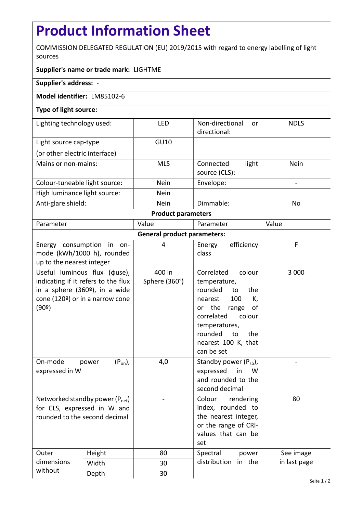## **Product Information Sheet**

COMMISSION DELEGATED REGULATION (EU) 2019/2015 with regard to energy labelling of light sources

## **Supplier's name or trade mark:** LIGHTME

**Supplier's address:** -

## **Model identifier:** LM85102-6

## **Type of light source:**

| Lighting technology used:     | <b>LED</b>  | Non-directional<br><sub>or</sub><br>directional: | <b>NDLS</b> |  |  |  |
|-------------------------------|-------------|--------------------------------------------------|-------------|--|--|--|
| Light source cap-type         | GU10        |                                                  |             |  |  |  |
| (or other electric interface) |             |                                                  |             |  |  |  |
| Mains or non-mains:           | <b>MLS</b>  | light<br>Connected<br>source (CLS):              | <b>Nein</b> |  |  |  |
| Colour-tuneable light source: | <b>Nein</b> | Envelope:                                        |             |  |  |  |
| High luminance light source:  | <b>Nein</b> |                                                  |             |  |  |  |
| Anti-glare shield:            | <b>Nein</b> | Dimmable:                                        | No          |  |  |  |
| <b>Product parameters</b>     |             |                                                  |             |  |  |  |

| Parameter                                                                                           |                                                                                                                         | Value                   | Parameter                                                                                                                                                                                                           | Value        |  |  |
|-----------------------------------------------------------------------------------------------------|-------------------------------------------------------------------------------------------------------------------------|-------------------------|---------------------------------------------------------------------------------------------------------------------------------------------------------------------------------------------------------------------|--------------|--|--|
| <b>General product parameters:</b>                                                                  |                                                                                                                         |                         |                                                                                                                                                                                                                     |              |  |  |
| Energy consumption in on-<br>up to the nearest integer                                              | mode (kWh/1000 h), rounded                                                                                              | 4                       | efficiency<br>Energy<br>class                                                                                                                                                                                       | F            |  |  |
| in a sphere $(360°)$ , in a wide<br>(90°)                                                           | Useful luminous flux ( $\phi$ use),<br>indicating if it refers to the flux<br>cone (120 $\degree$ ) or in a narrow cone | 400 in<br>Sphere (360°) | Correlated<br>colour<br>temperature,<br>rounded<br>the<br>to<br>100<br>K,<br>nearest<br>or the<br>range<br>οf<br>correlated<br>colour<br>temperatures,<br>rounded<br>to<br>the<br>nearest 100 K, that<br>can be set | 3 0 0 0      |  |  |
| On-mode<br>expressed in W                                                                           | $(P_{on})$ ,<br>power                                                                                                   | 4,0                     | Standby power $(P_{sb})$ ,<br>expressed<br>in<br>W<br>and rounded to the<br>second decimal                                                                                                                          |              |  |  |
| Networked standby power $(P_{net})$<br>for CLS, expressed in W and<br>rounded to the second decimal |                                                                                                                         |                         | Colour<br>rendering<br>index, rounded to<br>the nearest integer,<br>or the range of CRI-<br>values that can be<br>set                                                                                               | 80           |  |  |
| Outer<br>dimensions                                                                                 | Height                                                                                                                  | 80                      | Spectral<br>power<br>distribution<br>in the                                                                                                                                                                         | See image    |  |  |
|                                                                                                     | Width                                                                                                                   | 30                      |                                                                                                                                                                                                                     | in last page |  |  |
| without                                                                                             | Depth                                                                                                                   | 30                      |                                                                                                                                                                                                                     |              |  |  |